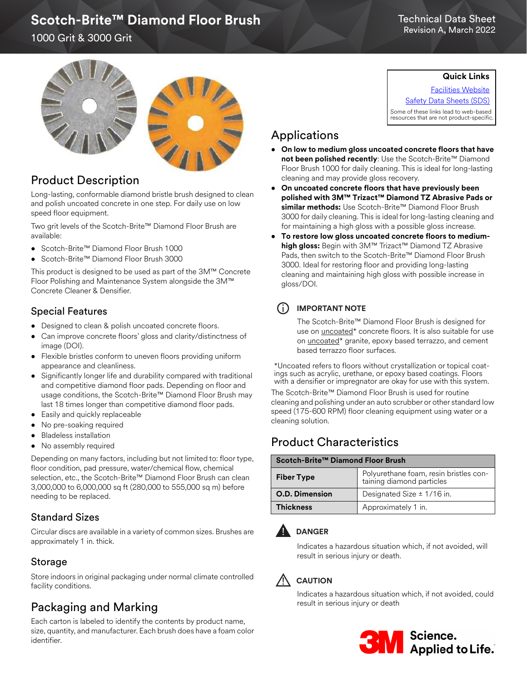# Scotch-Brite™ Diamond Floor Brush

#### Technical Data Sheet Revision A, March 2022

1000 Grit & 3000 Grit



## Product Description

Long-lasting, conformable diamond bristle brush designed to clean and polish uncoated concrete in one step. For daily use on low speed floor equipment.

Two grit levels of the Scotch-Brite™ Diamond Floor Brush are available:

- Scotch-Brite™ Diamond Floor Brush 1000
- Scotch-Brite™ Diamond Floor Brush 3000

This product is designed to be used as part of the 3M™ Concrete Floor Polishing and Maintenance System alongside the 3M™ Concrete Cleaner & Densifier.

### Special Features

- Designed to clean & polish uncoated concrete floors.
- Can improve concrete floors' gloss and clarity/distinctness of image (DOI).
- Flexible bristles conform to uneven floors providing uniform appearance and cleanliness.
- Significantly longer life and durability compared with traditional and competitive diamond floor pads. Depending on floor and usage conditions, the Scotch-Brite™ Diamond Floor Brush may last 18 times longer than competitive diamond floor pads.
- Easily and quickly replaceable
- No pre-soaking required
- Bladeless installation
- No assembly required

Depending on many factors, including but not limited to: floor type, floor condition, pad pressure, water/chemical flow, chemical selection, etc., the Scotch-Brite™ Diamond Floor Brush can clean 3,000,000 to 6,000,000 sq ft (280,000 to 555,000 sq m) before needing to be replaced.

## Standard Sizes

Circular discs are available in a variety of common sizes. Brushes are approximately 1 in. thick.

### Storage

Store indoors in original packaging under normal climate controlled facility conditions.

## Packaging and Marking

Each carton is labeled to identify the contents by product name, size, quantity, and manufacturer. Each brush does have a foam color identifier.

**Quick Links**

[Facilities Website](www.mmm.com/facilities) [Safety Data Sheets \(SDS\)](https://www.3m.com/3M/en_US/commercial-cleaning-us/resources/sds-finder/) Some of these links lead to web-based resources that are not product-specific.

## Applications

- **On low to medium gloss uncoated concrete floors that have not been polished recently**: Use the Scotch-Brite™ Diamond Floor Brush 1000 for daily cleaning. This is ideal for long-lasting cleaning and may provide gloss recovery.
- **On uncoated concrete floors that have previously been polished with 3M™ Trizact™ Diamond TZ Abrasive Pads or similar methods:** Use Scotch-Brite™ Diamond Floor Brush 3000 for daily cleaning. This is ideal for long-lasting cleaning and for maintaining a high gloss with a possible gloss increase.
- **To restore low gloss uncoated concrete floors to mediumhigh gloss:** Begin with 3M™ Trizact™ Diamond TZ Abrasive Pads, then switch to the Scotch-Brite™ Diamond Floor Brush 3000. Ideal for restoring floor and providing long-lasting cleaning and maintaining high gloss with possible increase in gloss/DOI.

## i **IMPORTANT NOTE**

The Scotch-Brite™ Diamond Floor Brush is designed for use on uncoated\* concrete floors. It is also suitable for use on *uncoated\** granite, epoxy based terrazzo, and cement based terrazzo floor surfaces.

\*Uncoated refers to floors without crystallization or topical coatings such as acrylic, urethane, or epoxy based coatings. Floors with a densifier or impregnator are okay for use with this system.

The Scotch-Brite™ Diamond Floor Brush is used for routine cleaning and polishing under an auto scrubber or other standard low speed (175-600 RPM) floor cleaning equipment using water or a cleaning solution.

## Product Characteristics

#### **Scotch-Brite™ Diamond Floor Brush**

| <b>Fiber Type</b>     | Polyurethane foam, resin bristles con-<br>taining diamond particles |
|-----------------------|---------------------------------------------------------------------|
| <b>O.D. Dimension</b> | Designated Size $\pm$ 1/16 in.                                      |
| <b>Thickness</b>      | Approximately 1 in.                                                 |



Indicates a hazardous situation which, if not avoided, will result in serious injury or death.



Indicates a hazardous situation which, if not avoided, could result in serious injury or death